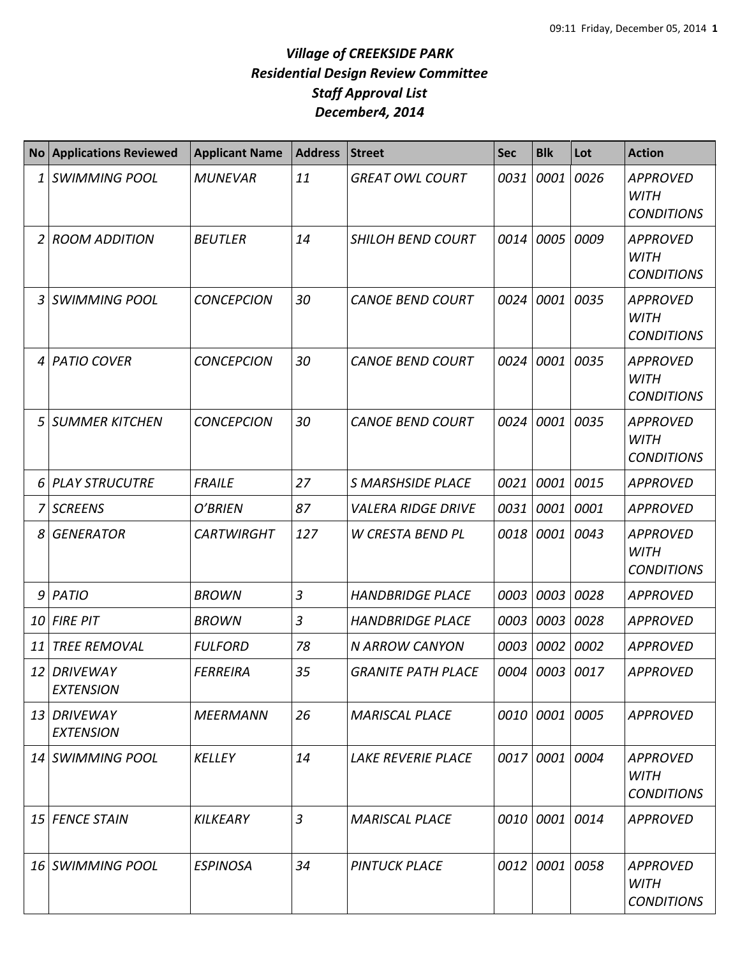## *Village of CREEKSIDE PARK Residential Design Review Committee Staff Approval List December4, 2014*

| <b>No</b> | <b>Applications Reviewed</b>        | <b>Applicant Name</b> | <b>Address</b> | <b>Street</b>             | <b>Sec</b> | <b>Blk</b>     | Lot       | <b>Action</b>                                       |
|-----------|-------------------------------------|-----------------------|----------------|---------------------------|------------|----------------|-----------|-----------------------------------------------------|
| 1         | <b>SWIMMING POOL</b>                | <b>MUNEVAR</b>        | 11             | <b>GREAT OWL COURT</b>    | 0031       | 0001           | 0026      | <b>APPROVED</b><br><b>WITH</b><br><b>CONDITIONS</b> |
| 2         | <b>ROOM ADDITION</b>                | <b>BEUTLER</b>        | 14             | <b>SHILOH BEND COURT</b>  | 0014       | 0005           | 0009      | <b>APPROVED</b><br><b>WITH</b><br><b>CONDITIONS</b> |
| 3         | <b>SWIMMING POOL</b>                | <b>CONCEPCION</b>     | 30             | <b>CANOE BEND COURT</b>   | 0024       | 0001           | 0035      | <b>APPROVED</b><br><b>WITH</b><br><b>CONDITIONS</b> |
| 4         | <b>PATIO COVER</b>                  | <b>CONCEPCION</b>     | 30             | <b>CANOE BEND COURT</b>   | 0024       | 0001           | 0035      | <b>APPROVED</b><br><b>WITH</b><br><b>CONDITIONS</b> |
| 5         | <b>SUMMER KITCHEN</b>               | <b>CONCEPCION</b>     | 30             | <b>CANOE BEND COURT</b>   | 0024       | 0001           | 0035      | <b>APPROVED</b><br><b>WITH</b><br><b>CONDITIONS</b> |
| 6         | <b>PLAY STRUCUTRE</b>               | <b>FRAILE</b>         | 27             | <b>S MARSHSIDE PLACE</b>  | 0021       | 0001           | 0015      | <b>APPROVED</b>                                     |
| 7         | <b>SCREENS</b>                      | O'BRIEN               | 87             | <b>VALERA RIDGE DRIVE</b> | 0031       | 0001           | 0001      | <b>APPROVED</b>                                     |
| 8         | <b>GENERATOR</b>                    | <b>CARTWIRGHT</b>     | 127            | <b>W CRESTA BEND PL</b>   | 0018       | 0001           | 0043      | <b>APPROVED</b><br><b>WITH</b><br><b>CONDITIONS</b> |
| 9         | PATIO                               | <b>BROWN</b>          | $\overline{3}$ | <b>HANDBRIDGE PLACE</b>   | 0003       | 0003           | 0028      | <b>APPROVED</b>                                     |
| 10        | <b>FIRE PIT</b>                     | <b>BROWN</b>          | 3              | <b>HANDBRIDGE PLACE</b>   | 0003       | 0003           | 0028      | <b>APPROVED</b>                                     |
| 11        | <b>TREE REMOVAL</b>                 | <b>FULFORD</b>        | 78             | <b>N ARROW CANYON</b>     | 0003       | 0002           | 0002      | <b>APPROVED</b>                                     |
| 12        | <b>DRIVEWAY</b><br><b>EXTENSION</b> | <b>FERREIRA</b>       | 35             | <b>GRANITE PATH PLACE</b> | 0004       | 0003 0017      |           | <b>APPROVED</b>                                     |
| 13        | DRIVEWAY<br><b>EXTENSION</b>        | <b>MEERMANN</b>       | 26             | <b>MARISCAL PLACE</b>     |            | 0010 0001 0005 |           | <b>APPROVED</b>                                     |
| 14        | SWIMMING POOL                       | <b>KELLEY</b>         | 14             | <b>LAKE REVERIE PLACE</b> | 0017       | 0001 0004      |           | APPROVED<br><b>WITH</b><br><b>CONDITIONS</b>        |
| 15        | <b>FENCE STAIN</b>                  | <b>KILKEARY</b>       | $\overline{3}$ | <b>MARISCAL PLACE</b>     | 0010       | 0001 0014      |           | APPROVED                                            |
| 16        | <b>SWIMMING POOL</b>                | <b>ESPINOSA</b>       | 34             | <b>PINTUCK PLACE</b>      | 0012       |                | 0001 0058 | <b>APPROVED</b><br><b>WITH</b><br><b>CONDITIONS</b> |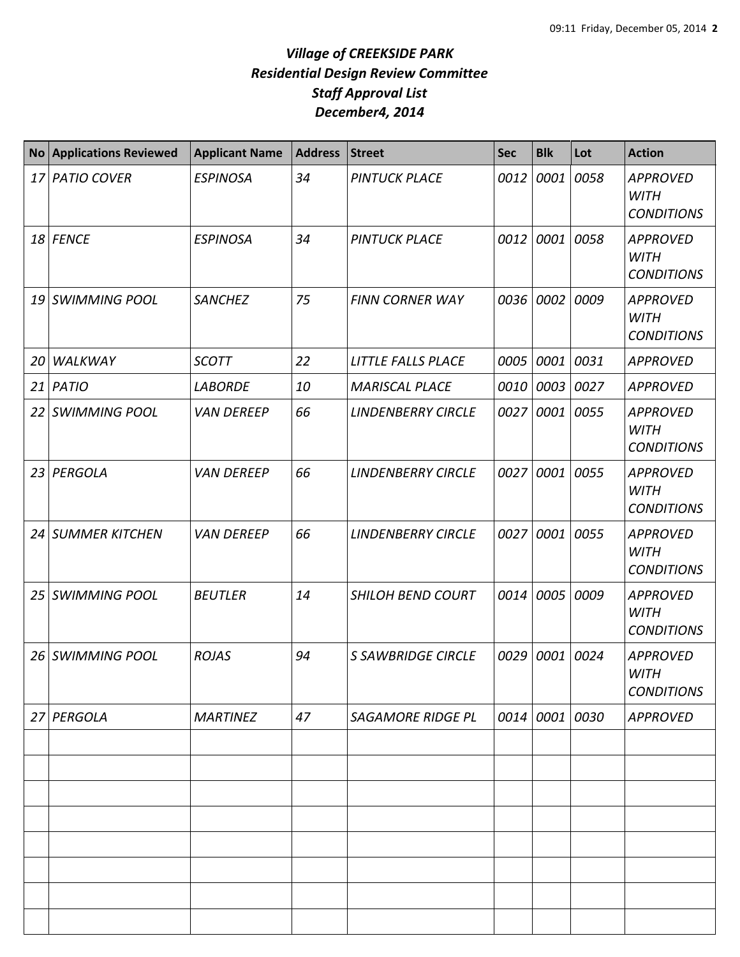## *Village of CREEKSIDE PARK Residential Design Review Committee Staff Approval List December4, 2014*

| <b>No</b> | <b>Applications Reviewed</b> | <b>Applicant Name</b> | <b>Address</b> | <b>Street</b>             | <b>Sec</b> | <b>Blk</b>     | Lot  | <b>Action</b>                                       |
|-----------|------------------------------|-----------------------|----------------|---------------------------|------------|----------------|------|-----------------------------------------------------|
| 17        | <b>PATIO COVER</b>           | <b>ESPINOSA</b>       | 34             | <b>PINTUCK PLACE</b>      | 0012       | 0001           | 0058 | <b>APPROVED</b><br><b>WITH</b><br><b>CONDITIONS</b> |
|           | 18 FENCE                     | <b>ESPINOSA</b>       | 34             | <b>PINTUCK PLACE</b>      | 0012       | 0001 0058      |      | <b>APPROVED</b><br><b>WITH</b><br><b>CONDITIONS</b> |
| 19        | <b>SWIMMING POOL</b>         | <b>SANCHEZ</b>        | 75             | <b>FINN CORNER WAY</b>    | 0036       | 0002           | 0009 | <b>APPROVED</b><br><b>WITH</b><br><b>CONDITIONS</b> |
| 20        | WALKWAY                      | <b>SCOTT</b>          | 22             | LITTLE FALLS PLACE        | 0005       | 0001           | 0031 | APPROVED                                            |
| 21        | <b>PATIO</b>                 | <b>LABORDE</b>        | 10             | <b>MARISCAL PLACE</b>     | 0010       | 0003 0027      |      | <b>APPROVED</b>                                     |
| 22        | <b>SWIMMING POOL</b>         | <b>VAN DEREEP</b>     | 66             | <b>LINDENBERRY CIRCLE</b> | 0027       | 0001 0055      |      | <b>APPROVED</b><br><b>WITH</b><br><b>CONDITIONS</b> |
| 23        | PERGOLA                      | <b>VAN DEREEP</b>     | 66             | <b>LINDENBERRY CIRCLE</b> | 0027       | 0001           | 0055 | <b>APPROVED</b><br><b>WITH</b><br><b>CONDITIONS</b> |
| 24        | <b>SUMMER KITCHEN</b>        | <b>VAN DEREEP</b>     | 66             | <b>LINDENBERRY CIRCLE</b> | 0027       | 0001           | 0055 | <b>APPROVED</b><br><b>WITH</b><br><b>CONDITIONS</b> |
| 25        | <b>SWIMMING POOL</b>         | <b>BEUTLER</b>        | 14             | <b>SHILOH BEND COURT</b>  | 0014       | 0005           | 0009 | <b>APPROVED</b><br><b>WITH</b><br><b>CONDITIONS</b> |
| 26        | <b>SWIMMING POOL</b>         | <b>ROJAS</b>          | 94             | <b>S SAWBRIDGE CIRCLE</b> | 0029       | 0001 0024      |      | <b>APPROVED</b><br><b>WITH</b><br><b>CONDITIONS</b> |
| 27        | PERGOLA                      | <b>MARTINEZ</b>       | 47             | <b>SAGAMORE RIDGE PL</b>  |            | 0014 0001 0030 |      | <b>APPROVED</b>                                     |
|           |                              |                       |                |                           |            |                |      |                                                     |
|           |                              |                       |                |                           |            |                |      |                                                     |
|           |                              |                       |                |                           |            |                |      |                                                     |
|           |                              |                       |                |                           |            |                |      |                                                     |
|           |                              |                       |                |                           |            |                |      |                                                     |
|           |                              |                       |                |                           |            |                |      |                                                     |
|           |                              |                       |                |                           |            |                |      |                                                     |